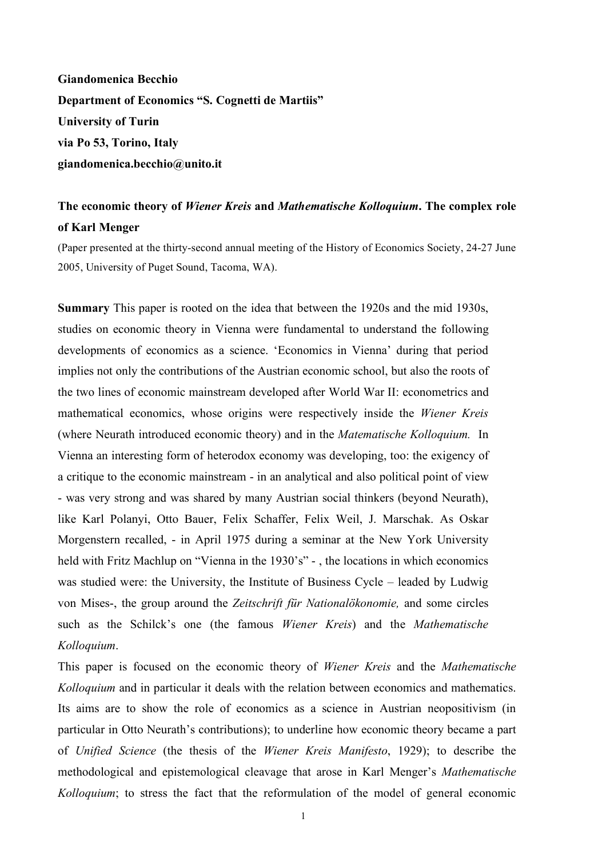**Giandomenica Becchio Department of Economics "S. Cognetti de Martiis" University of Turin via Po 53, Torino, Italy giandomenica.becchio@unito.it**

# **The economic theory of** *Wiener Kreis* **and** *Mathematische Kolloquium***. The complex role of Karl Menger**

(Paper presented at the thirty-second annual meeting of the History of Economics Society, 24-27 June 2005, University of Puget Sound, Tacoma, WA).

**Summary** This paper is rooted on the idea that between the 1920s and the mid 1930s, studies on economic theory in Vienna were fundamental to understand the following developments of economics as a science. 'Economics in Vienna' during that period implies not only the contributions of the Austrian economic school, but also the roots of the two lines of economic mainstream developed after World War II: econometrics and mathematical economics, whose origins were respectively inside the *Wiener Kreis* (where Neurath introduced economic theory) and in the *Matematische Kolloquium.* In Vienna an interesting form of heterodox economy was developing, too: the exigency of a critique to the economic mainstream - in an analytical and also political point of view - was very strong and was shared by many Austrian social thinkers (beyond Neurath), like Karl Polanyi, Otto Bauer, Felix Schaffer, Felix Weil, J. Marschak. As Oskar Morgenstern recalled, - in April 1975 during a seminar at the New York University held with Fritz Machlup on "Vienna in the 1930's" -, the locations in which economics was studied were: the University, the Institute of Business Cycle – leaded by Ludwig von Mises-, the group around the *Zeitschrift für Nationalökonomie,* and some circles such as the Schilck's one (the famous *Wiener Kreis*) and the *Mathematische Kolloquium*.

This paper is focused on the economic theory of *Wiener Kreis* and the *Mathematische Kolloquium* and in particular it deals with the relation between economics and mathematics. Its aims are to show the role of economics as a science in Austrian neopositivism (in particular in Otto Neurath's contributions); to underline how economic theory became a part of *Unified Science* (the thesis of the *Wiener Kreis Manifesto*, 1929); to describe the methodological and epistemological cleavage that arose in Karl Menger's *Mathematische Kolloquium*; to stress the fact that the reformulation of the model of general economic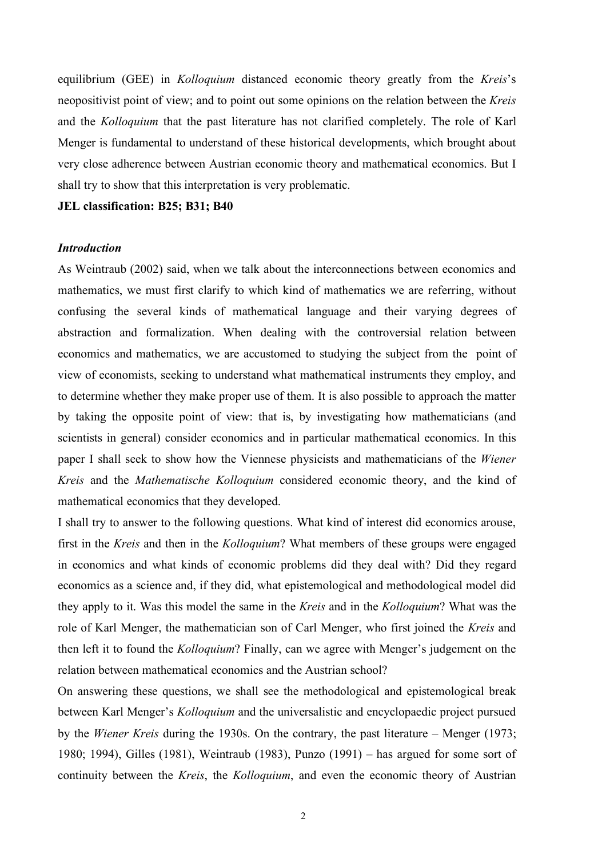equilibrium (GEE) in *Kolloquium* distanced economic theory greatly from the *Kreis*'s neopositivist point of view; and to point out some opinions on the relation between the *Kreis* and the *Kolloquium* that the past literature has not clarified completely. The role of Karl Menger is fundamental to understand of these historical developments, which brought about very close adherence between Austrian economic theory and mathematical economics. But I shall try to show that this interpretation is very problematic.

### **JEL classification: B25; B31; B40**

#### *Introduction*

As Weintraub (2002) said, when we talk about the interconnections between economics and mathematics, we must first clarify to which kind of mathematics we are referring, without confusing the several kinds of mathematical language and their varying degrees of abstraction and formalization. When dealing with the controversial relation between economics and mathematics, we are accustomed to studying the subject from the point of view of economists, seeking to understand what mathematical instruments they employ, and to determine whether they make proper use of them. It is also possible to approach the matter by taking the opposite point of view: that is, by investigating how mathematicians (and scientists in general) consider economics and in particular mathematical economics. In this paper I shall seek to show how the Viennese physicists and mathematicians of the *Wiener Kreis* and the *Mathematische Kolloquium* considered economic theory, and the kind of mathematical economics that they developed.

I shall try to answer to the following questions. What kind of interest did economics arouse, first in the *Kreis* and then in the *Kolloquium*? What members of these groups were engaged in economics and what kinds of economic problems did they deal with? Did they regard economics as a science and, if they did, what epistemological and methodological model did they apply to it. Was this model the same in the *Kreis* and in the *Kolloquium*? What was the role of Karl Menger, the mathematician son of Carl Menger, who first joined the *Kreis* and then left it to found the *Kolloquium*? Finally, can we agree with Menger's judgement on the relation between mathematical economics and the Austrian school?

On answering these questions, we shall see the methodological and epistemological break between Karl Menger's *Kolloquium* and the universalistic and encyclopaedic project pursued by the *Wiener Kreis* during the 1930s. On the contrary, the past literature – Menger (1973; 1980; 1994), Gilles (1981), Weintraub (1983), Punzo (1991) – has argued for some sort of continuity between the *Kreis*, the *Kolloquium*, and even the economic theory of Austrian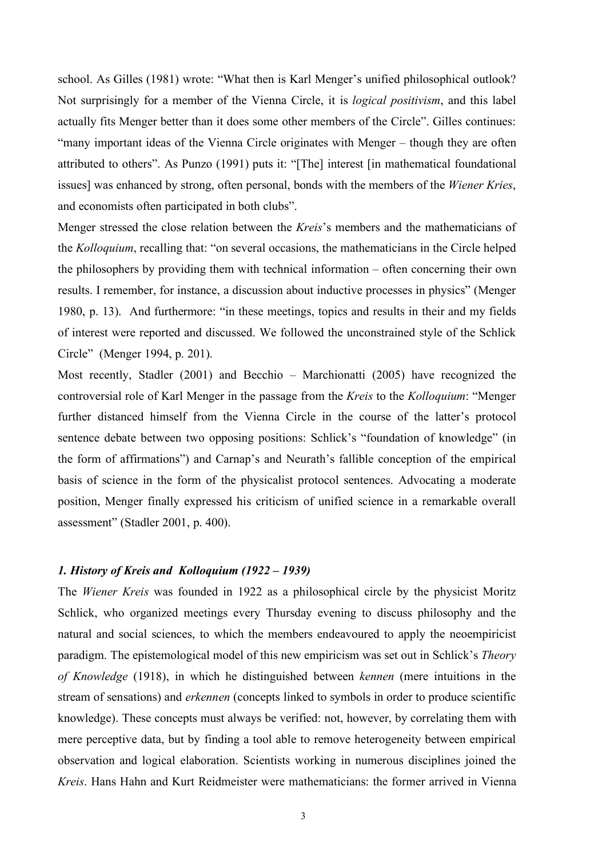school. As Gilles (1981) wrote: "What then is Karl Menger's unified philosophical outlook? Not surprisingly for a member of the Vienna Circle, it is *logical positivism*, and this label actually fits Menger better than it does some other members of the Circle". Gilles continues: "many important ideas of the Vienna Circle originates with Menger – though they are often attributed to others". As Punzo (1991) puts it: "[The] interest [in mathematical foundational issues] was enhanced by strong, often personal, bonds with the members of the *Wiener Kries*, and economists often participated in both clubs".

Menger stressed the close relation between the *Kreis*'s members and the mathematicians of the *Kolloquium*, recalling that: "on several occasions, the mathematicians in the Circle helped the philosophers by providing them with technical information – often concerning their own results. I remember, for instance, a discussion about inductive processes in physics" (Menger 1980, p. 13). And furthermore: "in these meetings, topics and results in their and my fields of interest were reported and discussed. We followed the unconstrained style of the Schlick Circle" (Menger 1994, p. 201).

Most recently, Stadler (2001) and Becchio – Marchionatti (2005) have recognized the controversial role of Karl Menger in the passage from the *Kreis* to the *Kolloquium*: "Menger further distanced himself from the Vienna Circle in the course of the latter's protocol sentence debate between two opposing positions: Schlick's "foundation of knowledge" (in the form of affirmations") and Carnap's and Neurath's fallible conception of the empirical basis of science in the form of the physicalist protocol sentences. Advocating a moderate position, Menger finally expressed his criticism of unified science in a remarkable overall assessment" (Stadler 2001, p. 400).

#### *1. History of Kreis and Kolloquium (1922 – 1939)*

The *Wiener Kreis* was founded in 1922 as a philosophical circle by the physicist Moritz Schlick, who organized meetings every Thursday evening to discuss philosophy and the natural and social sciences, to which the members endeavoured to apply the neoempiricist paradigm. The epistemological model of this new empiricism was set out in Schlick's *Theory of Knowledge* (1918), in which he distinguished between *kennen* (mere intuitions in the stream of sensations) and *erkennen* (concepts linked to symbols in order to produce scientific knowledge). These concepts must always be verified: not, however, by correlating them with mere perceptive data, but by finding a tool able to remove heterogeneity between empirical observation and logical elaboration. Scientists working in numerous disciplines joined the *Kreis*. Hans Hahn and Kurt Reidmeister were mathematicians: the former arrived in Vienna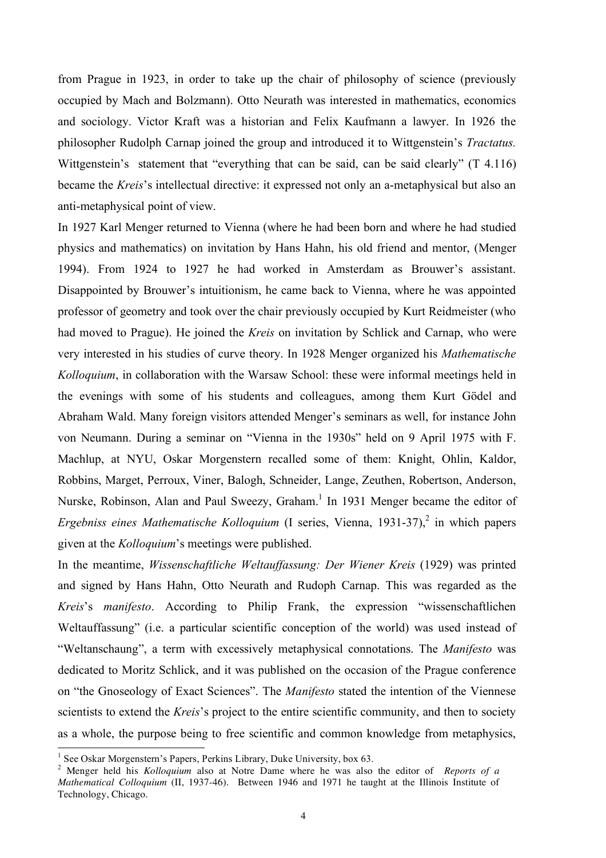from Prague in 1923, in order to take up the chair of philosophy of science (previously occupied by Mach and Bolzmann). Otto Neurath was interested in mathematics, economics and sociology. Victor Kraft was a historian and Felix Kaufmann a lawyer. In 1926 the philosopher Rudolph Carnap joined the group and introduced it to Wittgenstein's *Tractatus.* Wittgenstein's statement that "everything that can be said, can be said clearly" (T 4.116) became the *Kreis*'s intellectual directive: it expressed not only an a-metaphysical but also an anti-metaphysical point of view.

In 1927 Karl Menger returned to Vienna (where he had been born and where he had studied physics and mathematics) on invitation by Hans Hahn, his old friend and mentor, (Menger 1994). From 1924 to 1927 he had worked in Amsterdam as Brouwer's assistant. Disappointed by Brouwer's intuitionism, he came back to Vienna, where he was appointed professor of geometry and took over the chair previously occupied by Kurt Reidmeister (who had moved to Prague). He joined the *Kreis* on invitation by Schlick and Carnap, who were very interested in his studies of curve theory. In 1928 Menger organized his *Mathematische Kolloquium*, in collaboration with the Warsaw School: these were informal meetings held in the evenings with some of his students and colleagues, among them Kurt Gödel and Abraham Wald. Many foreign visitors attended Menger's seminars as well, for instance John von Neumann. During a seminar on "Vienna in the 1930s" held on 9 April 1975 with F. Machlup, at NYU, Oskar Morgenstern recalled some of them: Knight, Ohlin, Kaldor, Robbins, Marget, Perroux, Viner, Balogh, Schneider, Lange, Zeuthen, Robertson, Anderson, Nurske, Robinson, Alan and Paul Sweezy, Graham.<sup>1</sup> In 1931 Menger became the editor of *Ergebniss eines Mathematische Kolloquium* (I series, Vienna, 1931-37), <sup>2</sup> in which papers given at the *Kolloquium*'s meetings were published.

In the meantime, *Wissenschaftliche Weltauffassung: Der Wiener Kreis* (1929) was printed and signed by Hans Hahn, Otto Neurath and Rudoph Carnap. This was regarded as the *Kreis*'s *manifesto*. According to Philip Frank, the expression "wissenschaftlichen Weltauffassung" (i.e. a particular scientific conception of the world) was used instead of "Weltanschaung", a term with excessively metaphysical connotations. The *Manifesto* was dedicated to Moritz Schlick, and it was published on the occasion of the Prague conference on "the Gnoseology of Exact Sciences". The *Manifesto* stated the intention of the Viennese scientists to extend the *Kreis*'s project to the entire scientific community, and then to society as a whole, the purpose being to free scientific and common knowledge from metaphysics,

<sup>&</sup>lt;sup>1</sup> See Oskar Morgenstern's Papers, Perkins Library, Duke University, box 63.

<sup>2</sup> Menger held his *Kolloquium* also at Notre Dame where he was also the editor of *Reports of a Mathematical Colloquium* (II, 1937-46). Between 1946 and 1971 he taught at the Illinois Institute of Technology, Chicago.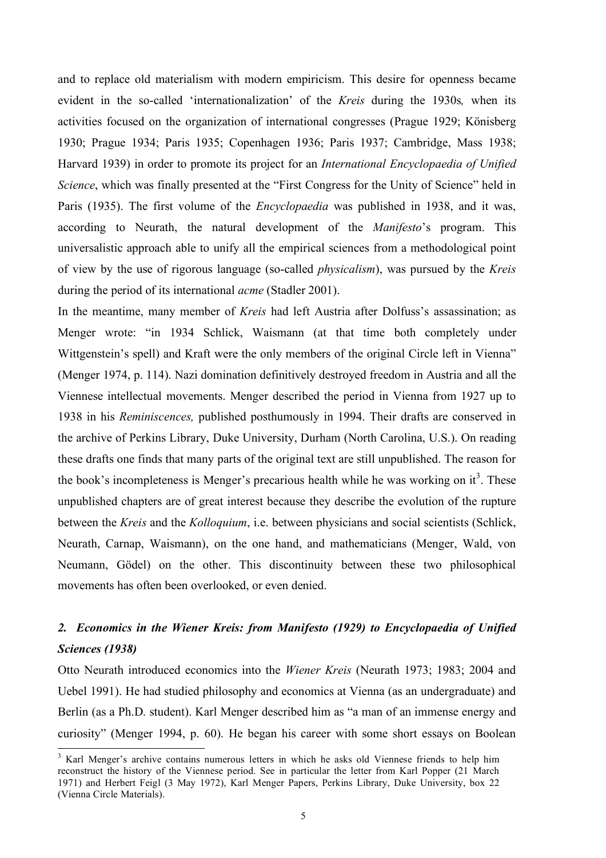and to replace old materialism with modern empiricism. This desire for openness became evident in the so-called 'internationalization' of the *Kreis* during the 1930s*,* when its activities focused on the organization of international congresses (Prague 1929; Könisberg 1930; Prague 1934; Paris 1935; Copenhagen 1936; Paris 1937; Cambridge, Mass 1938; Harvard 1939) in order to promote its project for an *International Encyclopaedia of Unified Science*, which was finally presented at the "First Congress for the Unity of Science" held in Paris (1935). The first volume of the *Encyclopaedia* was published in 1938, and it was, according to Neurath, the natural development of the *Manifesto*'s program. This universalistic approach able to unify all the empirical sciences from a methodological point of view by the use of rigorous language (so-called *physicalism*), was pursued by the *Kreis* during the period of its international *acme* (Stadler 2001).

In the meantime, many member of *Kreis* had left Austria after Dolfuss's assassination; as Menger wrote: "in 1934 Schlick, Waismann (at that time both completely under Wittgenstein's spell) and Kraft were the only members of the original Circle left in Vienna" (Menger 1974, p. 114). Nazi domination definitively destroyed freedom in Austria and all the Viennese intellectual movements. Menger described the period in Vienna from 1927 up to 1938 in his *Reminiscences,* published posthumously in 1994. Their drafts are conserved in the archive of Perkins Library, Duke University, Durham (North Carolina, U.S.). On reading these drafts one finds that many parts of the original text are still unpublished. The reason for the book's incompleteness is Menger's precarious health while he was working on it<sup>3</sup>. These unpublished chapters are of great interest because they describe the evolution of the rupture between the *Kreis* and the *Kolloquium*, i.e. between physicians and social scientists (Schlick, Neurath, Carnap, Waismann), on the one hand, and mathematicians (Menger, Wald, von Neumann, Gödel) on the other. This discontinuity between these two philosophical movements has often been overlooked, or even denied.

# *2. Economics in the Wiener Kreis: from Manifesto (1929) to Encyclopaedia of Unified Sciences (1938)*

Otto Neurath introduced economics into the *Wiener Kreis* (Neurath 1973; 1983; 2004 and Uebel 1991). He had studied philosophy and economics at Vienna (as an undergraduate) and Berlin (as a Ph.D. student). Karl Menger described him as "a man of an immense energy and curiosity" (Menger 1994, p. 60). He began his career with some short essays on Boolean

<sup>&</sup>lt;sup>3</sup> Karl Menger's archive contains numerous letters in which he asks old Viennese friends to help him reconstruct the history of the Viennese period. See in particular the letter from Karl Popper (21 March 1971) and Herbert Feigl (3 May 1972), Karl Menger Papers, Perkins Library, Duke University, box 22 (Vienna Circle Materials).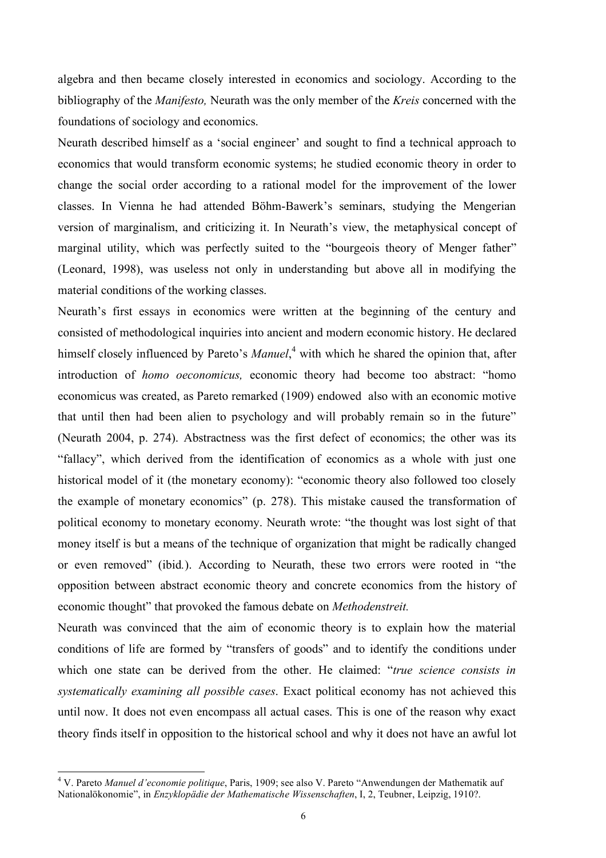algebra and then became closely interested in economics and sociology. According to the bibliography of the *Manifesto,* Neurath was the only member of the *Kreis* concerned with the foundations of sociology and economics.

Neurath described himself as a 'social engineer' and sought to find a technical approach to economics that would transform economic systems; he studied economic theory in order to change the social order according to a rational model for the improvement of the lower classes. In Vienna he had attended Böhm-Bawerk's seminars, studying the Mengerian version of marginalism, and criticizing it. In Neurath's view, the metaphysical concept of marginal utility, which was perfectly suited to the "bourgeois theory of Menger father" (Leonard, 1998), was useless not only in understanding but above all in modifying the material conditions of the working classes.

Neurath's first essays in economics were written at the beginning of the century and consisted of methodological inquiries into ancient and modern economic history. He declared himself closely influenced by Pareto's *Manuel*, 4 with which he shared the opinion that, after introduction of *homo oeconomicus,* economic theory had become too abstract: "homo economicus was created, as Pareto remarked (1909) endowed also with an economic motive that until then had been alien to psychology and will probably remain so in the future" (Neurath 2004, p. 274). Abstractness was the first defect of economics; the other was its "fallacy", which derived from the identification of economics as a whole with just one historical model of it (the monetary economy): "economic theory also followed too closely the example of monetary economics" (p. 278). This mistake caused the transformation of political economy to monetary economy. Neurath wrote: "the thought was lost sight of that money itself is but a means of the technique of organization that might be radically changed or even removed" (ibid*.*). According to Neurath, these two errors were rooted in "the opposition between abstract economic theory and concrete economics from the history of economic thought" that provoked the famous debate on *Methodenstreit.*

Neurath was convinced that the aim of economic theory is to explain how the material conditions of life are formed by "transfers of goods" and to identify the conditions under which one state can be derived from the other. He claimed: "*true science consists in systematically examining all possible cases*. Exact political economy has not achieved this until now. It does not even encompass all actual cases. This is one of the reason why exact theory finds itself in opposition to the historical school and why it does not have an awful lot

 <sup>4</sup> V. Pareto *Manuel d'economie politique*, Paris, 1909; see also V. Pareto "Anwendungen der Mathematik auf Nationalökonomie", in *Enzyklopädie der Mathematische Wissenschaften*, I, 2, Teubner, Leipzig, 1910?.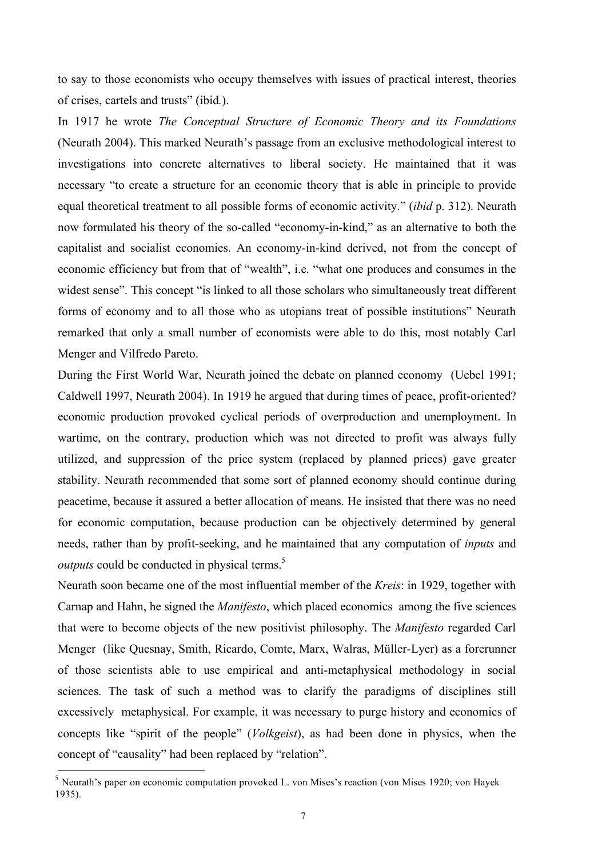to say to those economists who occupy themselves with issues of practical interest, theories of crises, cartels and trusts" (ibid*.*).

In 1917 he wrote *The Conceptual Structure of Economic Theory and its Foundations* (Neurath 2004). This marked Neurath's passage from an exclusive methodological interest to investigations into concrete alternatives to liberal society. He maintained that it was necessary "to create a structure for an economic theory that is able in principle to provide equal theoretical treatment to all possible forms of economic activity." (*ibid* p. 312). Neurath now formulated his theory of the so-called "economy-in-kind," as an alternative to both the capitalist and socialist economies. An economy-in-kind derived, not from the concept of economic efficiency but from that of "wealth", i.e. "what one produces and consumes in the widest sense". This concept "is linked to all those scholars who simultaneously treat different forms of economy and to all those who as utopians treat of possible institutions" Neurath remarked that only a small number of economists were able to do this, most notably Carl Menger and Vilfredo Pareto.

During the First World War, Neurath joined the debate on planned economy (Uebel 1991; Caldwell 1997, Neurath 2004). In 1919 he argued that during times of peace, profit-oriented? economic production provoked cyclical periods of overproduction and unemployment. In wartime, on the contrary, production which was not directed to profit was always fully utilized, and suppression of the price system (replaced by planned prices) gave greater stability. Neurath recommended that some sort of planned economy should continue during peacetime, because it assured a better allocation of means. He insisted that there was no need for economic computation, because production can be objectively determined by general needs, rather than by profit-seeking, and he maintained that any computation of *inputs* and *outputs* could be conducted in physical terms. 5

Neurath soon became one of the most influential member of the *Kreis*: in 1929, together with Carnap and Hahn, he signed the *Manifesto*, which placed economics among the five sciences that were to become objects of the new positivist philosophy. The *Manifesto* regarded Carl Menger (like Quesnay, Smith, Ricardo, Comte, Marx, Walras, Müller-Lyer) as a forerunner of those scientists able to use empirical and anti-metaphysical methodology in social sciences. The task of such a method was to clarify the paradigms of disciplines still excessively metaphysical. For example, it was necessary to purge history and economics of concepts like "spirit of the people" (*Volkgeist*), as had been done in physics, when the concept of "causality" had been replaced by "relation".

 <sup>5</sup> Neurath's paper on economic computation provoked L. von Mises's reaction (von Mises 1920; von Hayek 1935).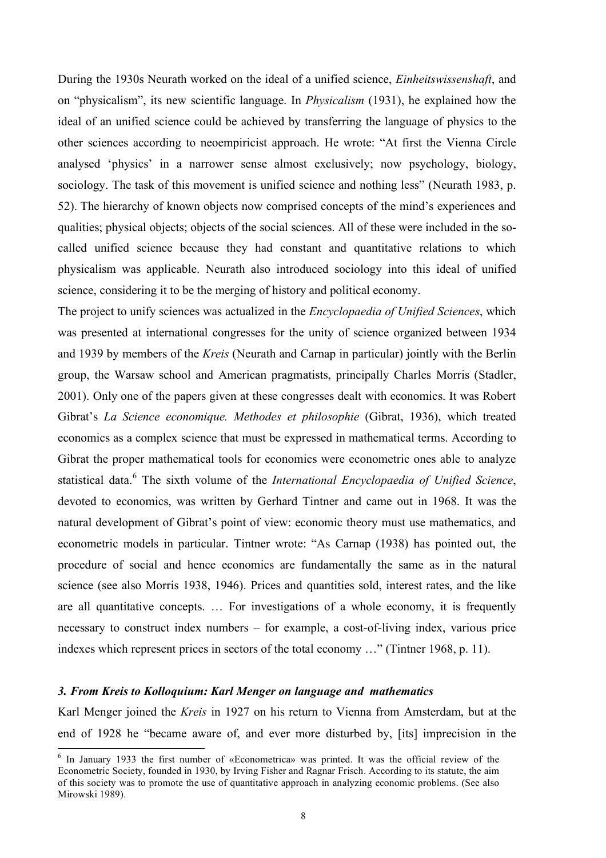During the 1930s Neurath worked on the ideal of a unified science, *Einheitswissenshaft*, and on "physicalism", its new scientific language. In *Physicalism* (1931), he explained how the ideal of an unified science could be achieved by transferring the language of physics to the other sciences according to neoempiricist approach. He wrote: "At first the Vienna Circle analysed 'physics' in a narrower sense almost exclusively; now psychology, biology, sociology. The task of this movement is unified science and nothing less" (Neurath 1983, p. 52). The hierarchy of known objects now comprised concepts of the mind's experiences and qualities; physical objects; objects of the social sciences. All of these were included in the socalled unified science because they had constant and quantitative relations to which physicalism was applicable. Neurath also introduced sociology into this ideal of unified science, considering it to be the merging of history and political economy.

The project to unify sciences was actualized in the *Encyclopaedia of Unified Sciences*, which was presented at international congresses for the unity of science organized between 1934 and 1939 by members of the *Kreis* (Neurath and Carnap in particular) jointly with the Berlin group, the Warsaw school and American pragmatists, principally Charles Morris (Stadler, 2001). Only one of the papers given at these congresses dealt with economics. It was Robert Gibrat's *La Science economique. Methodes et philosophie* (Gibrat, 1936), which treated economics as a complex science that must be expressed in mathematical terms. According to Gibrat the proper mathematical tools for economics were econometric ones able to analyze statistical data. <sup>6</sup> The sixth volume of the *International Encyclopaedia of Unified Science*, devoted to economics, was written by Gerhard Tintner and came out in 1968. It was the natural development of Gibrat's point of view: economic theory must use mathematics, and econometric models in particular. Tintner wrote: "As Carnap (1938) has pointed out, the procedure of social and hence economics are fundamentally the same as in the natural science (see also Morris 1938, 1946). Prices and quantities sold, interest rates, and the like are all quantitative concepts. … For investigations of a whole economy, it is frequently necessary to construct index numbers – for example, a cost-of-living index, various price indexes which represent prices in sectors of the total economy …" (Tintner 1968, p. 11).

## *3. From Kreis to Kolloquium: Karl Menger on language and mathematics*

Karl Menger joined the *Kreis* in 1927 on his return to Vienna from Amsterdam, but at the end of 1928 he "became aware of, and ever more disturbed by, [its] imprecision in the

 <sup>6</sup> In January <sup>1933</sup> the first number of «Econometrica» was printed. It was the official review of the Econometric Society, founded in 1930, by Irving Fisher and Ragnar Frisch. According to its statute, the aim of this society was to promote the use of quantitative approach in analyzing economic problems. (See also Mirowski 1989).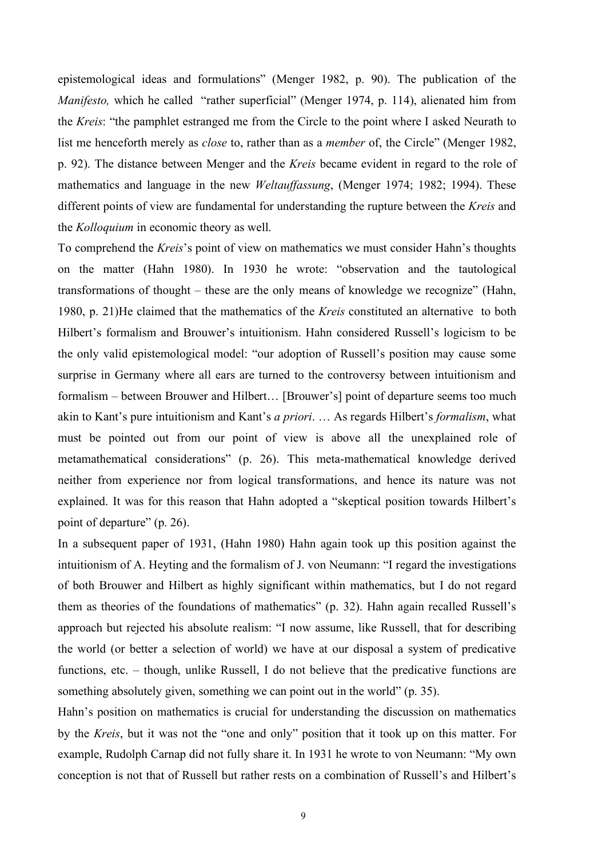epistemological ideas and formulations" (Menger 1982, p. 90). The publication of the *Manifesto,* which he called "rather superficial" (Menger 1974, p. 114), alienated him from the *Kreis*: "the pamphlet estranged me from the Circle to the point where I asked Neurath to list me henceforth merely as *close* to, rather than as a *member* of, the Circle" (Menger 1982, p. 92). The distance between Menger and the *Kreis* became evident in regard to the role of mathematics and language in the new *Weltauffassung*, (Menger 1974; 1982; 1994). These different points of view are fundamental for understanding the rupture between the *Kreis* and the *Kolloquium* in economic theory as well.

To comprehend the *Kreis*'s point of view on mathematics we must consider Hahn's thoughts on the matter (Hahn 1980). In 1930 he wrote: "observation and the tautological transformations of thought – these are the only means of knowledge we recognize" (Hahn, 1980, p. 21)He claimed that the mathematics of the *Kreis* constituted an alternative to both Hilbert's formalism and Brouwer's intuitionism. Hahn considered Russell's logicism to be the only valid epistemological model: "our adoption of Russell's position may cause some surprise in Germany where all ears are turned to the controversy between intuitionism and formalism – between Brouwer and Hilbert… [Brouwer's] point of departure seems too much akin to Kant's pure intuitionism and Kant's *a priori*. … As regards Hilbert's *formalism*, what must be pointed out from our point of view is above all the unexplained role of metamathematical considerations" (p. 26). This meta-mathematical knowledge derived neither from experience nor from logical transformations, and hence its nature was not explained. It was for this reason that Hahn adopted a "skeptical position towards Hilbert's point of departure" (p. 26).

In a subsequent paper of 1931, (Hahn 1980) Hahn again took up this position against the intuitionism of A. Heyting and the formalism of J. von Neumann: "I regard the investigations of both Brouwer and Hilbert as highly significant within mathematics, but I do not regard them as theories of the foundations of mathematics" (p. 32). Hahn again recalled Russell's approach but rejected his absolute realism: "I now assume, like Russell, that for describing the world (or better a selection of world) we have at our disposal a system of predicative functions, etc. – though, unlike Russell, I do not believe that the predicative functions are something absolutely given, something we can point out in the world" (p. 35).

Hahn's position on mathematics is crucial for understanding the discussion on mathematics by the *Kreis*, but it was not the "one and only" position that it took up on this matter. For example, Rudolph Carnap did not fully share it. In 1931 he wrote to von Neumann: "My own conception is not that of Russell but rather rests on a combination of Russell's and Hilbert's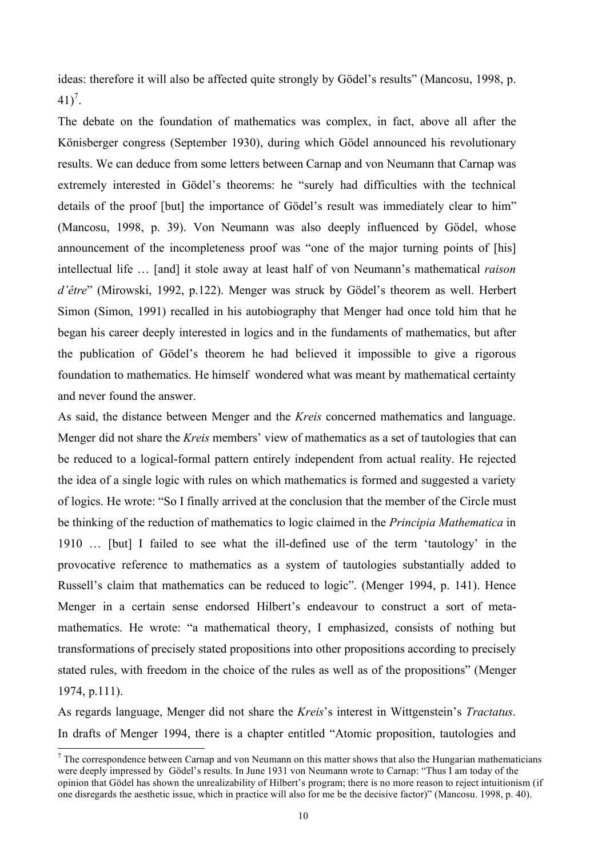ideas: therefore it will also be affected quite strongly by Gödel's results" (Mancosu, 1998, p.  $41)^7$ .

The debate on the foundation of mathematics was complex, in fact, above all after the Könisberger congress (September 1930), during which Gödel announced his revolutionary results. We can deduce from some letters between Carnap and von Neumann that Carnap was extremely interested in Gödel's theorems: he "surely had difficulties with the technical details of the proof [but] the importance of Gödel's result was immediately clear to him" (Mancosu, 1998, p. 39). Von Neumann was also deeply influenced by Gödel, whose announcement of the incompleteness proof was "one of the major turning points of [his] intellectual life … [and] it stole away at least half of von Neumann's mathematical *raison d'être*" (Mirowski, 1992, p.122). Menger was struck by Gödel's theorem as well. Herbert Simon (Simon, 1991) recalled in his autobiography that Menger had once told him that he began his career deeply interested in logics and in the fundaments of mathematics, but after the publication of Gödel's theorem he had believed it impossible to give a rigorous foundation to mathematics. He himself wondered what was meant by mathematical certainty and never found the answer.

As said, the distance between Menger and the *Kreis* concerned mathematics and language. Menger did not share the *Kreis* members' view of mathematics as a set of tautologies that can be reduced to a logical-formal pattern entirely independent from actual reality. He rejected the idea of a single logic with rules on which mathematics is formed and suggested a variety of logics. He wrote: "So I finally arrived at the conclusion that the member of the Circle must be thinking of the reduction of mathematics to logic claimed in the *Principia Mathematica* in 1910 … [but] I failed to see what the ill-defined use of the term 'tautology' in the provocative reference to mathematics as a system of tautologies substantially added to Russell's claim that mathematics can be reduced to logic". (Menger 1994, p. 141). Hence Menger in a certain sense endorsed Hilbert's endeavour to construct a sort of metamathematics. He wrote: "a mathematical theory, I emphasized, consists of nothing but transformations of precisely stated propositions into other propositions according to precisely stated rules, with freedom in the choice of the rules as well as of the propositions" (Menger 1974, p.111).

As regards language, Menger did not share the *Kreis*'s interest in Wittgenstein's *Tractatus*. In drafts of Menger 1994, there is a chapter entitled "Atomic proposition, tautologies and

 $<sup>7</sup>$  The correspondence between Carnap and von Neumann on this matter shows that also the Hungarian mathematicians</sup> were deeply impressed by Gödel's results. In June 1931 von Neumann wrote to Carnap: "Thus I am today of the opinion that Gödel has shown the unrealizability of Hilbert's program; there is no more reason to reject intuitionism (if one disregards the aesthetic issue, which in practice will also for me be the decisive factor)" (Mancosu. 1998, p. 40).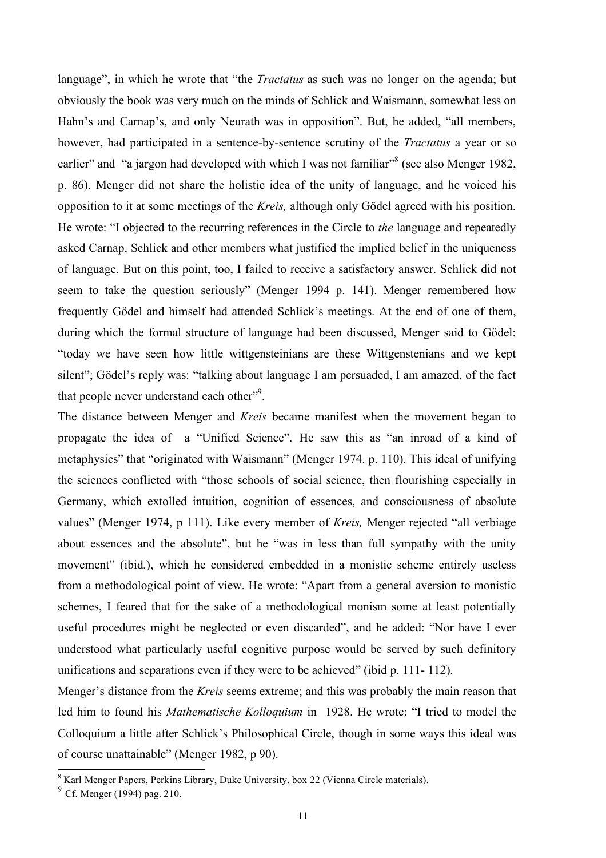language", in which he wrote that "the *Tractatus* as such was no longer on the agenda; but obviously the book was very much on the minds of Schlick and Waismann, somewhat less on Hahn's and Carnap's, and only Neurath was in opposition". But, he added, "all members, however, had participated in a sentence-by-sentence scrutiny of the *Tractatus* a year or so earlier" and "a jargon had developed with which I was not familiar"<sup>8</sup> (see also Menger 1982, p. 86). Menger did not share the holistic idea of the unity of language, and he voiced his opposition to it at some meetings of the *Kreis,* although only Gödel agreed with his position. He wrote: "I objected to the recurring references in the Circle to *the* language and repeatedly asked Carnap, Schlick and other members what justified the implied belief in the uniqueness of language. But on this point, too, I failed to receive a satisfactory answer. Schlick did not seem to take the question seriously" (Menger 1994 p. 141). Menger remembered how frequently Gödel and himself had attended Schlick's meetings. At the end of one of them, during which the formal structure of language had been discussed, Menger said to Gödel: "today we have seen how little wittgensteinians are these Wittgenstenians and we kept silent"; Gödel's reply was: "talking about language I am persuaded, I am amazed, of the fact that people never understand each other"<sup>9</sup>.

The distance between Menger and *Kreis* became manifest when the movement began to propagate the idea of a "Unified Science". He saw this as "an inroad of a kind of metaphysics" that "originated with Waismann" (Menger 1974. p. 110). This ideal of unifying the sciences conflicted with "those schools of social science, then flourishing especially in Germany, which extolled intuition, cognition of essences, and consciousness of absolute values" (Menger 1974, p 111). Like every member of *Kreis,* Menger rejected "all verbiage about essences and the absolute", but he "was in less than full sympathy with the unity movement" (ibid*.*), which he considered embedded in a monistic scheme entirely useless from a methodological point of view. He wrote: "Apart from a general aversion to monistic schemes, I feared that for the sake of a methodological monism some at least potentially useful procedures might be neglected or even discarded", and he added: "Nor have I ever understood what particularly useful cognitive purpose would be served by such definitory unifications and separations even if they were to be achieved" (ibid p. 111- 112).

Menger's distance from the *Kreis* seems extreme; and this was probably the main reason that led him to found his *Mathematische Kolloquium* in 1928. He wrote: "I tried to model the Colloquium a little after Schlick's Philosophical Circle, though in some ways this ideal was of course unattainable" (Menger 1982, p 90).

 $\frac{8}{9}$  Karl Menger Papers, Perkins Library, Duke University, box 22 (Vienna Circle materials).  $\frac{9}{9}$  Cf. Menger (1994) pag. 210.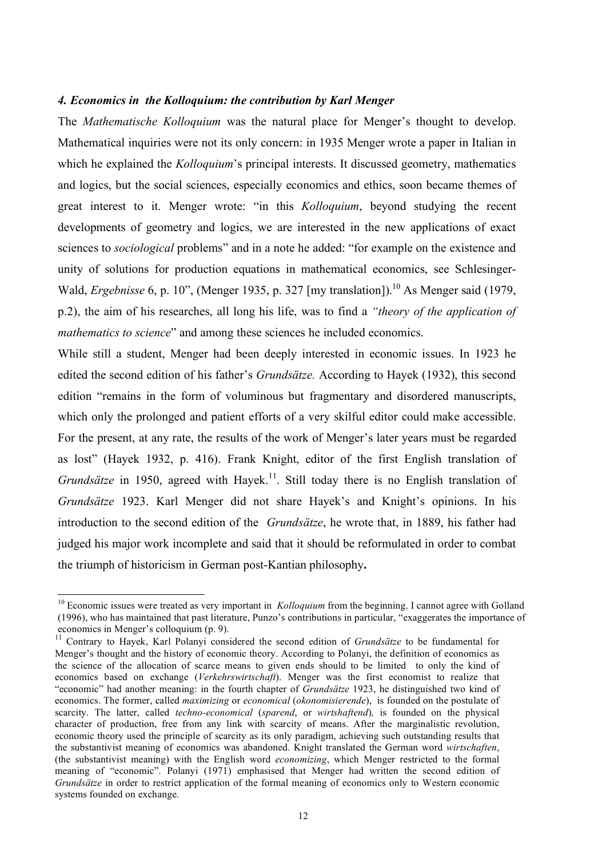#### *4. Economics in the Kolloquium: the contribution by Karl Menger*

The *Mathematische Kolloquium* was the natural place for Menger's thought to develop. Mathematical inquiries were not its only concern: in 1935 Menger wrote a paper in Italian in which he explained the *Kolloquium*'s principal interests. It discussed geometry, mathematics and logics, but the social sciences, especially economics and ethics, soon became themes of great interest to it. Menger wrote: "in this *Kolloquium*, beyond studying the recent developments of geometry and logics, we are interested in the new applications of exact sciences to *sociological* problems" and in a note he added: "for example on the existence and unity of solutions for production equations in mathematical economics, see Schlesinger-Wald, *Ergebnisse* 6, p. 10", (Menger 1935, p. 327 [my translation]). <sup>10</sup> As Menger said (1979, p.2), the aim of his researches, all long his life, was to find a *"theory of the application of mathematics to science*" and among these sciences he included economics.

While still a student, Menger had been deeply interested in economic issues. In 1923 he edited the second edition of his father's *Grundsätze.* According to Hayek (1932), this second edition "remains in the form of voluminous but fragmentary and disordered manuscripts, which only the prolonged and patient efforts of a very skilful editor could make accessible. For the present, at any rate, the results of the work of Menger's later years must be regarded as lost" (Hayek 1932, p. 416). Frank Knight, editor of the first English translation of Grundsätze in 1950, agreed with Hayek.<sup>11</sup>. Still today there is no English translation of *Grundsätze* 1923. Karl Menger did not share Hayek's and Knight's opinions. In his introduction to the second edition of the *Grundsätze*, he wrote that, in 1889, his father had judged his major work incomplete and said that it should be reformulated in order to combat the triumph of historicism in German post-Kantian philosophy**.**

<sup>&</sup>lt;sup>10</sup> Economic issues were treated as very important in *Kolloquium* from the beginning. I cannot agree with Golland (1996), who has maintained that past literature, Punzo's contributions in particular, "exaggerates the importance of economics in Menger's colloquium (p. 9).<br><sup>11</sup> Contrary to Hayek, Karl Polanyi considered the second edition of *Grundsätze* to be fundamental for

Menger's thought and the history of economic theory. According to Polanyi, the definition of economics as the science of the allocation of scarce means to given ends should to be limited to only the kind of economics based on exchange (*Verkehrswirtschaft*). Menger was the first economist to realize that "economic" had another meaning: in the fourth chapter of *Grundsätze* 1923, he distinguished two kind of economics. The former, called *maximizing* or *economical* (*okonomisierende*), is founded on the postulate of scarcity. The latter, called *techno-economical* (*sparend*, or *wirtshaftend*)*,* is founded on the physical character of production, free from any link with scarcity of means. After the marginalistic revolution, economic theory used the principle of scarcity as its only paradigm, achieving such outstanding results that the substantivist meaning of economics was abandoned. Knight translated the German word *wirtschaften*, (the substantivist meaning) with the English word *economizing*, which Menger restricted to the formal meaning of "economic". Polanyi (1971) emphasised that Menger had written the second edition of *Grundsätze* in order to restrict application of the formal meaning of economics only to Western economic systems founded on exchange.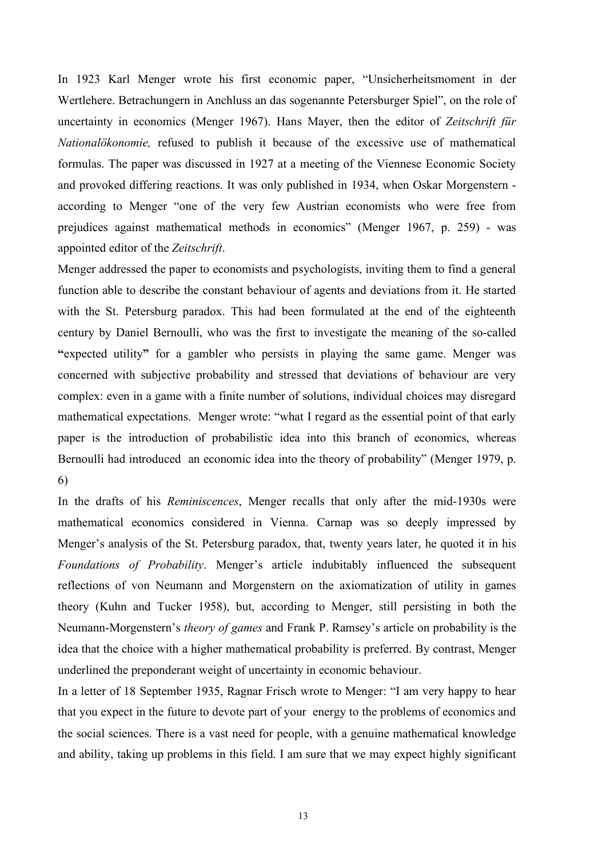In 1923 Karl Menger wrote his first economic paper, "Unsicherheitsmoment in der Wertlehere. Betrachungern in Anchluss an das sogenannte Petersburger Spiel", on the role of uncertainty in economics (Menger 1967). Hans Mayer, then the editor of *Zeitschrift für Nationalökonomie,* refused to publish it because of the excessive use of mathematical formulas. The paper was discussed in 1927 at a meeting of the Viennese Economic Society and provoked differing reactions. It was only published in 1934, when Oskar Morgenstern according to Menger "one of the very few Austrian economists who were free from prejudices against mathematical methods in economics" (Menger 1967, p. 259) - was appointed editor of the *Zeitschrift*.

Menger addressed the paper to economists and psychologists, inviting them to find a general function able to describe the constant behaviour of agents and deviations from it. He started with the St. Petersburg paradox. This had been formulated at the end of the eighteenth century by Daniel Bernoulli, who was the first to investigate the meaning of the so-called **"**expected utility**"** for a gambler who persists in playing the same game. Menger was concerned with subjective probability and stressed that deviations of behaviour are very complex: even in a game with a finite number of solutions, individual choices may disregard mathematical expectations. Menger wrote: "what I regard as the essential point of that early paper is the introduction of probabilistic idea into this branch of economics, whereas Bernoulli had introduced an economic idea into the theory of probability" (Menger 1979, p. 6)

In the drafts of his *Reminiscences*, Menger recalls that only after the mid-1930s were mathematical economics considered in Vienna. Carnap was so deeply impressed by Menger's analysis of the St. Petersburg paradox, that, twenty years later, he quoted it in his *Foundations of Probability*. Menger's article indubitably influenced the subsequent reflections of von Neumann and Morgenstern on the axiomatization of utility in games theory (Kuhn and Tucker 1958), but, according to Menger, still persisting in both the Neumann-Morgenstern's *theory of games* and Frank P. Ramsey's article on probability is the idea that the choice with a higher mathematical probability is preferred. By contrast, Menger underlined the preponderant weight of uncertainty in economic behaviour.

In a letter of 18 September 1935, Ragnar Frisch wrote to Menger: "I am very happy to hear that you expect in the future to devote part of your energy to the problems of economics and the social sciences. There is a vast need for people, with a genuine mathematical knowledge and ability, taking up problems in this field. I am sure that we may expect highly significant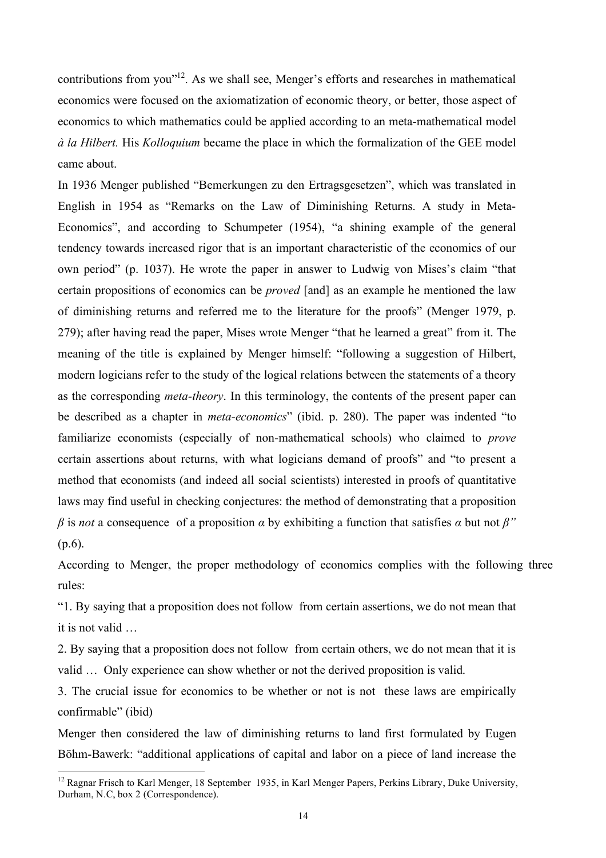contributions from you"<sup>12</sup>. As we shall see, Menger's efforts and researches in mathematical economics were focused on the axiomatization of economic theory, or better, those aspect of economics to which mathematics could be applied according to an meta-mathematical model *à la Hilbert.* His *Kolloquium* became the place in which the formalization of the GEE model came about.

In 1936 Menger published "Bemerkungen zu den Ertragsgesetzen", which was translated in English in 1954 as "Remarks on the Law of Diminishing Returns. A study in Meta-Economics", and according to Schumpeter (1954), "a shining example of the general tendency towards increased rigor that is an important characteristic of the economics of our own period" (p. 1037). He wrote the paper in answer to Ludwig von Mises's claim "that certain propositions of economics can be *proved* [and] as an example he mentioned the law of diminishing returns and referred me to the literature for the proofs" (Menger 1979, p. 279); after having read the paper, Mises wrote Menger "that he learned a great" from it. The meaning of the title is explained by Menger himself: "following a suggestion of Hilbert, modern logicians refer to the study of the logical relations between the statements of a theory as the corresponding *meta-theory*. In this terminology, the contents of the present paper can be described as a chapter in *meta-economics*" (ibid. p. 280). The paper was indented "to familiarize economists (especially of non-mathematical schools) who claimed to *prove* certain assertions about returns, with what logicians demand of proofs" and "to present a method that economists (and indeed all social scientists) interested in proofs of quantitative laws may find useful in checking conjectures: the method of demonstrating that a proposition *β* is *not* a consequence of a proposition  $\alpha$  by exhibiting a function that satisfies  $\alpha$  but not  $\beta$ <sup>"</sup> (p.6).

According to Menger, the proper methodology of economics complies with the following three rules:

"1. By saying that a proposition does not follow from certain assertions, we do not mean that it is not valid …

2. By saying that a proposition does not follow from certain others, we do not mean that it is valid … Only experience can show whether or not the derived proposition is valid.

3. The crucial issue for economics to be whether or not is not these laws are empirically confirmable" (ibid)

Menger then considered the law of diminishing returns to land first formulated by Eugen Böhm-Bawerk: "additional applications of capital and labor on a piece of land increase the

<sup>&</sup>lt;sup>12</sup> Ragnar Frisch to Karl Menger, 18 September 1935, in Karl Menger Papers, Perkins Library, Duke University, Durham, N.C, box 2 (Correspondence).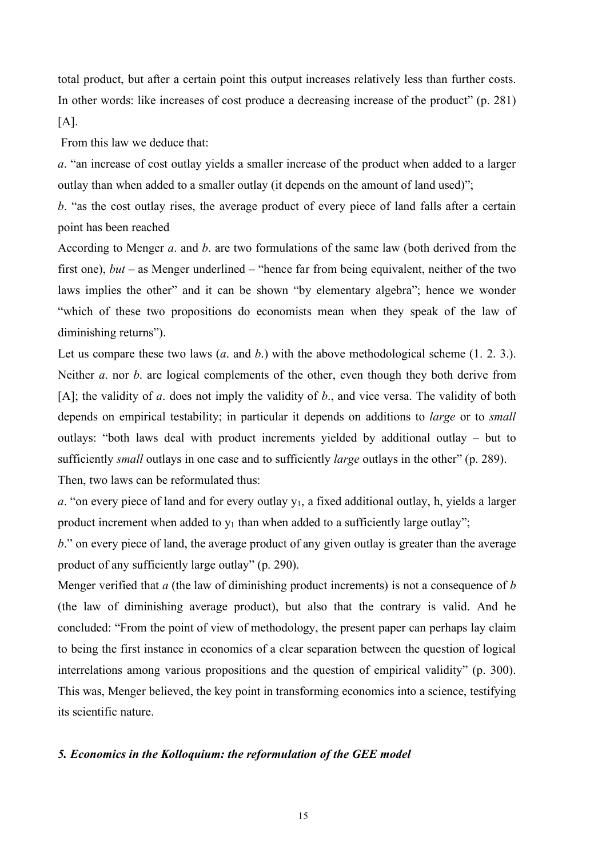total product, but after a certain point this output increases relatively less than further costs. In other words: like increases of cost produce a decreasing increase of the product" (p. 281)  $[A]$ .

From this law we deduce that:

*a*. "an increase of cost outlay yields a smaller increase of the product when added to a larger outlay than when added to a smaller outlay (it depends on the amount of land used)";

*b*. "as the cost outlay rises, the average product of every piece of land falls after a certain point has been reached

According to Menger *a*. and *b*. are two formulations of the same law (both derived from the first one), *but* – as Menger underlined – "hence far from being equivalent, neither of the two laws implies the other" and it can be shown "by elementary algebra"; hence we wonder "which of these two propositions do economists mean when they speak of the law of diminishing returns").

Let us compare these two laws (*a*. and *b*.) with the above methodological scheme (1, 2, 3.). Neither *a*. nor *b*. are logical complements of the other, even though they both derive from [A]; the validity of *a*. does not imply the validity of *b*., and vice versa. The validity of both depends on empirical testability; in particular it depends on additions to *large* or to *small* outlays: "both laws deal with product increments yielded by additional outlay – but to sufficiently *small* outlays in one case and to sufficiently *large* outlays in the other" (p. 289). Then, two laws can be reformulated thus:

 $a$ . "on every piece of land and for every outlay  $y_1$ , a fixed additional outlay, h, yields a larger product increment when added to  $y_1$  than when added to a sufficiently large outlay";

*b*." on every piece of land, the average product of any given outlay is greater than the average product of any sufficiently large outlay" (p. 290).

Menger verified that *a* (the law of diminishing product increments) is not a consequence of *b* (the law of diminishing average product), but also that the contrary is valid. And he concluded: "From the point of view of methodology, the present paper can perhaps lay claim to being the first instance in economics of a clear separation between the question of logical interrelations among various propositions and the question of empirical validity" (p. 300). This was, Menger believed, the key point in transforming economics into a science, testifying its scientific nature.

#### *5. Economics in the Kolloquium: the reformulation of the GEE model*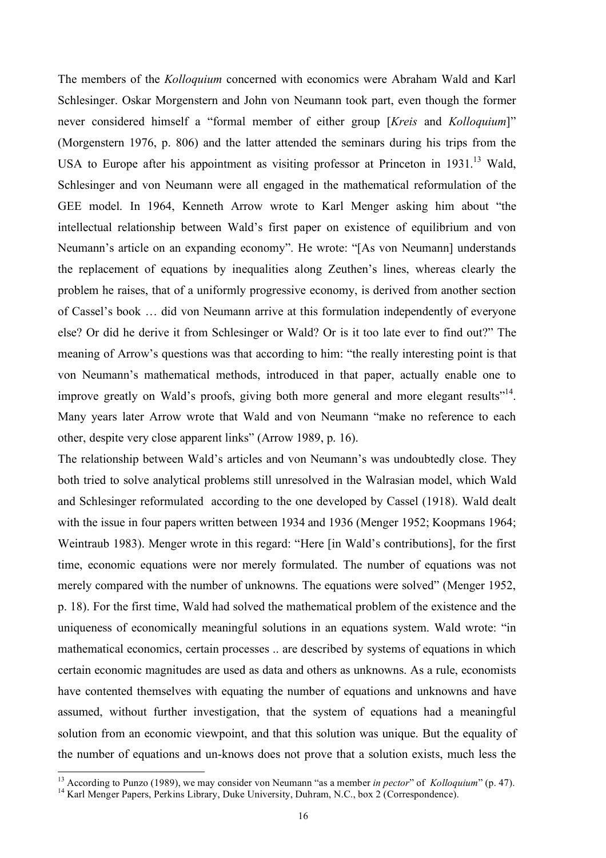The members of the *Kolloquium* concerned with economics were Abraham Wald and Karl Schlesinger. Oskar Morgenstern and John von Neumann took part, even though the former never considered himself a "formal member of either group [*Kreis* and *Kolloquium*]" (Morgenstern 1976, p. 806) and the latter attended the seminars during his trips from the USA to Europe after his appointment as visiting professor at Princeton in 1931.<sup>13</sup> Wald, Schlesinger and von Neumann were all engaged in the mathematical reformulation of the GEE model. In 1964, Kenneth Arrow wrote to Karl Menger asking him about "the intellectual relationship between Wald's first paper on existence of equilibrium and von Neumann's article on an expanding economy". He wrote: "[As von Neumann] understands the replacement of equations by inequalities along Zeuthen's lines, whereas clearly the problem he raises, that of a uniformly progressive economy, is derived from another section of Cassel's book … did von Neumann arrive at this formulation independently of everyone else? Or did he derive it from Schlesinger or Wald? Or is it too late ever to find out?" The meaning of Arrow's questions was that according to him: "the really interesting point is that von Neumann's mathematical methods, introduced in that paper, actually enable one to improve greatly on Wald's proofs, giving both more general and more elegant results"<sup>14</sup>. Many years later Arrow wrote that Wald and von Neumann "make no reference to each other, despite very close apparent links" (Arrow 1989, p. 16).

The relationship between Wald's articles and von Neumann's was undoubtedly close. They both tried to solve analytical problems still unresolved in the Walrasian model, which Wald and Schlesinger reformulated according to the one developed by Cassel (1918). Wald dealt with the issue in four papers written between 1934 and 1936 (Menger 1952; Koopmans 1964; Weintraub 1983). Menger wrote in this regard: "Here [in Wald's contributions], for the first time, economic equations were nor merely formulated. The number of equations was not merely compared with the number of unknowns. The equations were solved" (Menger 1952, p. 18). For the first time, Wald had solved the mathematical problem of the existence and the uniqueness of economically meaningful solutions in an equations system. Wald wrote: "in mathematical economics, certain processes .. are described by systems of equations in which certain economic magnitudes are used as data and others as unknowns. As a rule, economists have contented themselves with equating the number of equations and unknowns and have assumed, without further investigation, that the system of equations had a meaningful solution from an economic viewpoint, and that this solution was unique. But the equality of the number of equations and un-knows does not prove that a solution exists, much less the

<sup>&</sup>lt;sup>13</sup> According to Punzo (1989), we may consider von Neumann "as a member *in pector*" of *Kolloquium*" (p. 47).<br><sup>14</sup> Karl Menger Papers, Perkins Library, Duke University, Duhram, N.C., box 2 (Correspondence).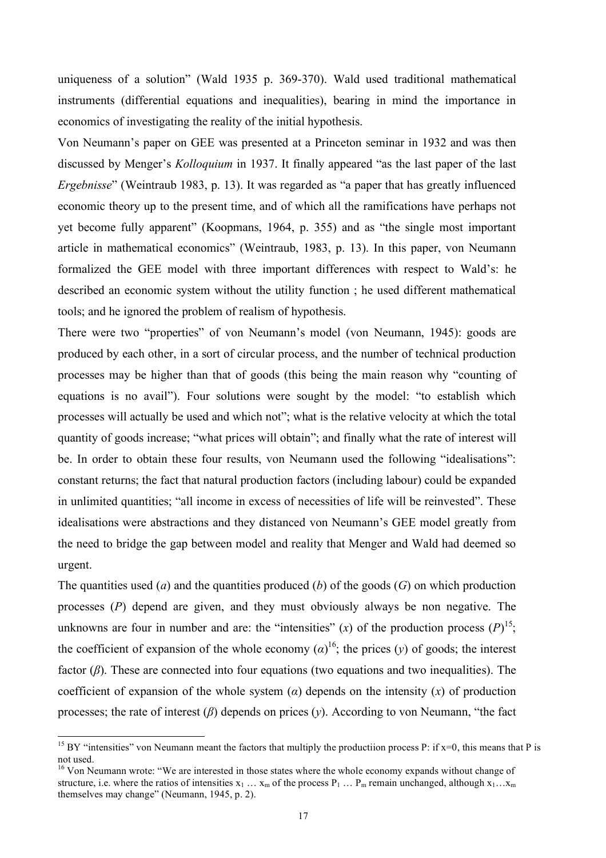uniqueness of a solution" (Wald 1935 p. 369-370). Wald used traditional mathematical instruments (differential equations and inequalities), bearing in mind the importance in economics of investigating the reality of the initial hypothesis.

Von Neumann's paper on GEE was presented at a Princeton seminar in 1932 and was then discussed by Menger's *Kolloquium* in 1937. It finally appeared "as the last paper of the last *Ergebnisse*" (Weintraub 1983, p. 13). It was regarded as "a paper that has greatly influenced economic theory up to the present time, and of which all the ramifications have perhaps not yet become fully apparent" (Koopmans, 1964, p. 355) and as "the single most important article in mathematical economics" (Weintraub, 1983, p. 13). In this paper, von Neumann formalized the GEE model with three important differences with respect to Wald's: he described an economic system without the utility function ; he used different mathematical tools; and he ignored the problem of realism of hypothesis.

There were two "properties" of von Neumann's model (von Neumann, 1945): goods are produced by each other, in a sort of circular process, and the number of technical production processes may be higher than that of goods (this being the main reason why "counting of equations is no avail"). Four solutions were sought by the model: "to establish which processes will actually be used and which not"; what is the relative velocity at which the total quantity of goods increase; "what prices will obtain"; and finally what the rate of interest will be. In order to obtain these four results, von Neumann used the following "idealisations": constant returns; the fact that natural production factors (including labour) could be expanded in unlimited quantities; "all income in excess of necessities of life will be reinvested". These idealisations were abstractions and they distanced von Neumann's GEE model greatly from the need to bridge the gap between model and reality that Menger and Wald had deemed so urgent.

The quantities used (*a*) and the quantities produced (*b*) of the goods (*G*) on which production processes (*P*) depend are given, and they must obviously always be non negative. The unknowns are four in number and are: the "intensities" (*x*) of the production process  $(P)^{15}$ ; the coefficient of expansion of the whole economy  $(\alpha)^{16}$ ; the prices (*y*) of goods; the interest factor  $(\beta)$ . These are connected into four equations (two equations and two inequalities). The coefficient of expansion of the whole system (*α*) depends on the intensity (*x*) of production processes; the rate of interest (*β*) depends on prices (*y*). According to von Neumann, "the fact

<sup>&</sup>lt;sup>15</sup> BY "intensities" von Neumann meant the factors that multiply the productiion process P: if  $x=0$ , this means that P is not used.<br><sup>16</sup> Von Neumann wrote: "We are interested in those states where the whole economy expands without change of

structure, i.e. where the ratios of intensities  $x_1 ... x_m$  of the process  $P_1 ... P_m$  remain unchanged, although  $x_1 ... x_m$ themselves may change" (Neumann, 1945, p. 2).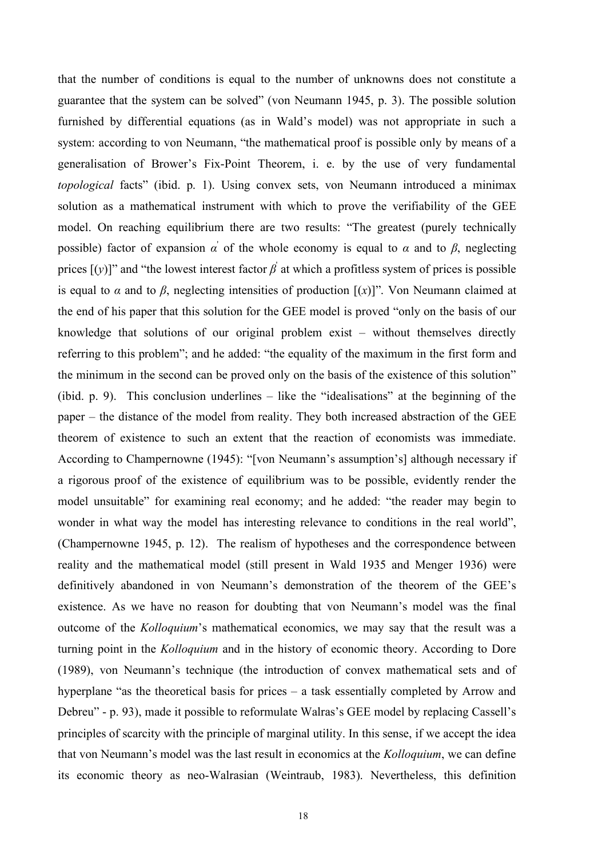that the number of conditions is equal to the number of unknowns does not constitute a guarantee that the system can be solved" (von Neumann 1945, p. 3). The possible solution furnished by differential equations (as in Wald's model) was not appropriate in such a system: according to von Neumann, "the mathematical proof is possible only by means of a generalisation of Brower's Fix-Point Theorem, i. e. by the use of very fundamental *topological* facts" (ibid. p. 1). Using convex sets, von Neumann introduced a minimax solution as a mathematical instrument with which to prove the verifiability of the GEE model. On reaching equilibrium there are two results: "The greatest (purely technically possible) factor of expansion  $\alpha'$  of the whole economy is equal to  $\alpha$  and to  $\beta$ , neglecting prices  $[(y)]$ " and "the lowest interest factor  $\beta$  at which a profitless system of prices is possible is equal to  $\alpha$  and to  $\beta$ , neglecting intensities of production  $[(x)]$ ". Von Neumann claimed at the end of his paper that this solution for the GEE model is proved "only on the basis of our knowledge that solutions of our original problem exist – without themselves directly referring to this problem"; and he added: "the equality of the maximum in the first form and the minimum in the second can be proved only on the basis of the existence of this solution" (ibid. p. 9). This conclusion underlines – like the "idealisations" at the beginning of the paper – the distance of the model from reality. They both increased abstraction of the GEE theorem of existence to such an extent that the reaction of economists was immediate. According to Champernowne (1945): "[von Neumann's assumption's] although necessary if a rigorous proof of the existence of equilibrium was to be possible, evidently render the model unsuitable" for examining real economy; and he added: "the reader may begin to wonder in what way the model has interesting relevance to conditions in the real world", (Champernowne 1945, p. 12). The realism of hypotheses and the correspondence between reality and the mathematical model (still present in Wald 1935 and Menger 1936) were definitively abandoned in von Neumann's demonstration of the theorem of the GEE's existence. As we have no reason for doubting that von Neumann's model was the final outcome of the *Kolloquium*'s mathematical economics, we may say that the result was a turning point in the *Kolloquium* and in the history of economic theory. According to Dore (1989), von Neumann's technique (the introduction of convex mathematical sets and of hyperplane "as the theoretical basis for prices – a task essentially completed by Arrow and Debreu" - p. 93), made it possible to reformulate Walras's GEE model by replacing Cassell's principles of scarcity with the principle of marginal utility. In this sense, if we accept the idea that von Neumann's model was the last result in economics at the *Kolloquium*, we can define its economic theory as neo-Walrasian (Weintraub, 1983). Nevertheless, this definition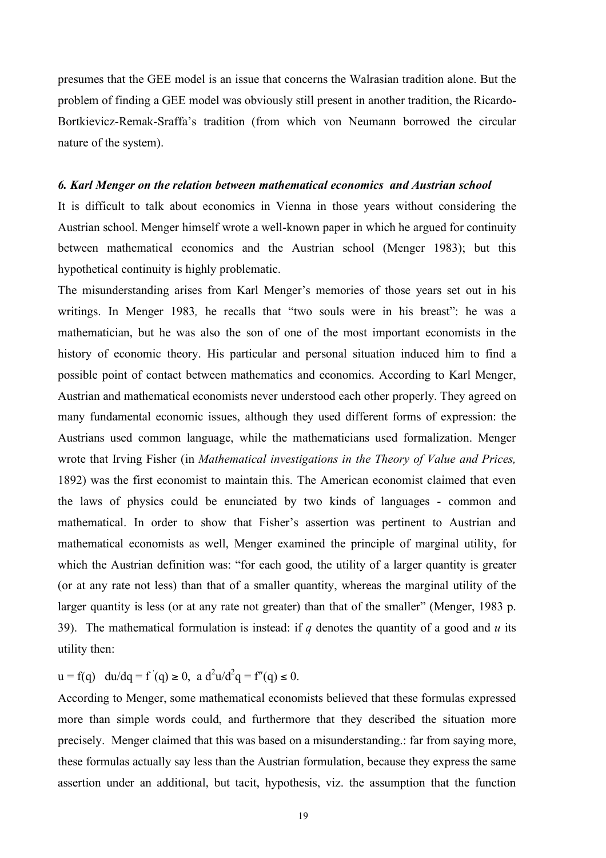presumes that the GEE model is an issue that concerns the Walrasian tradition alone. But the problem of finding a GEE model was obviously still present in another tradition, the Ricardo-Bortkievicz-Remak-Sraffa's tradition (from which von Neumann borrowed the circular nature of the system).

## *6. Karl Menger on the relation between mathematical economics and Austrian school*

It is difficult to talk about economics in Vienna in those years without considering the Austrian school. Menger himself wrote a well-known paper in which he argued for continuity between mathematical economics and the Austrian school (Menger 1983); but this hypothetical continuity is highly problematic.

The misunderstanding arises from Karl Menger's memories of those years set out in his writings. In Menger 1983*,* he recalls that "two souls were in his breast": he was a mathematician, but he was also the son of one of the most important economists in the history of economic theory. His particular and personal situation induced him to find a possible point of contact between mathematics and economics. According to Karl Menger, Austrian and mathematical economists never understood each other properly. They agreed on many fundamental economic issues, although they used different forms of expression: the Austrians used common language, while the mathematicians used formalization. Menger wrote that Irving Fisher (in *Mathematical investigations in the Theory of Value and Prices,* 1892) was the first economist to maintain this. The American economist claimed that even the laws of physics could be enunciated by two kinds of languages - common and mathematical. In order to show that Fisher's assertion was pertinent to Austrian and mathematical economists as well, Menger examined the principle of marginal utility, for which the Austrian definition was: "for each good, the utility of a larger quantity is greater (or at any rate not less) than that of a smaller quantity, whereas the marginal utility of the larger quantity is less (or at any rate not greater) than that of the smaller" (Menger, 1983 p. 39). The mathematical formulation is instead: if *q* denotes the quantity of a good and *u* its utility then:

 $u = f(q)$  du/dq = f'(q)  $\ge 0$ , a d<sup>2</sup>u/d<sup>2</sup>q = f''(q)  $\le 0$ .

According to Menger, some mathematical economists believed that these formulas expressed more than simple words could, and furthermore that they described the situation more precisely. Menger claimed that this was based on a misunderstanding.: far from saying more, these formulas actually say less than the Austrian formulation, because they express the same assertion under an additional, but tacit, hypothesis, viz. the assumption that the function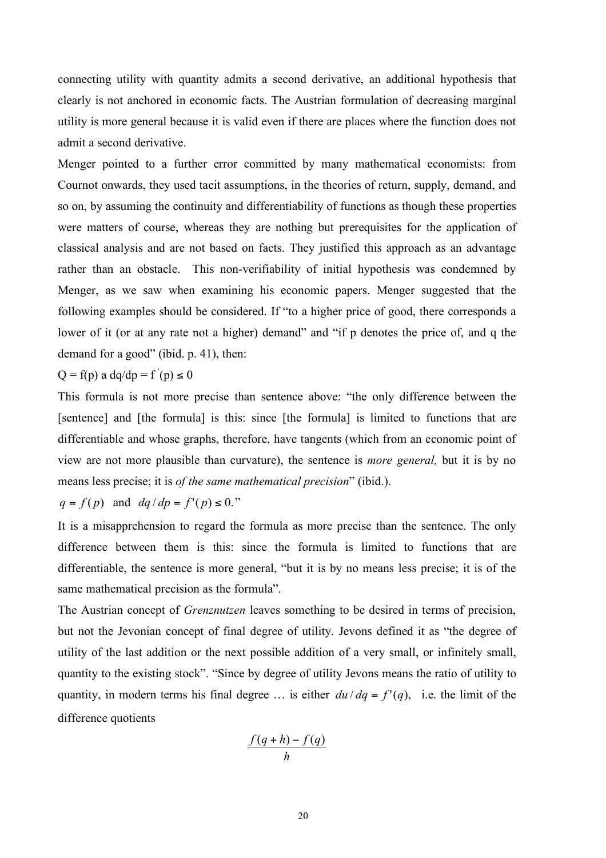connecting utility with quantity admits a second derivative, an additional hypothesis that clearly is not anchored in economic facts. The Austrian formulation of decreasing marginal utility is more general because it is valid even if there are places where the function does not admit a second derivative.

Menger pointed to a further error committed by many mathematical economists: from Cournot onwards, they used tacit assumptions, in the theories of return, supply, demand, and so on, by assuming the continuity and differentiability of functions as though these properties were matters of course, whereas they are nothing but prerequisites for the application of classical analysis and are not based on facts. They justified this approach as an advantage rather than an obstacle. This non-verifiability of initial hypothesis was condemned by Menger, as we saw when examining his economic papers. Menger suggested that the following examples should be considered. If "to a higher price of good, there corresponds a lower of it (or at any rate not a higher) demand" and "if p denotes the price of, and q the demand for a good" (ibid. p. 41), then:

# $Q = f(p)$  a dq/dp = f '(p)  $\le 0$

This formula is not more precise than sentence above: "the only difference between the [sentence] and [the formula] is this: since [the formula] is limited to functions that are differentiable and whose graphs, therefore, have tangents (which from an economic point of view are not more plausible than curvature), the sentence is *more general,* but it is by no means less precise; it is *of the same mathematical precision*" (ibid.).

# *q* = *f*(*p*) and *dq* / *dp* = *f*'(*p*)  $\le$  0."

It is a misapprehension to regard the formula as more precise than the sentence. The only difference between them is this: since the formula is limited to functions that are differentiable, the sentence is more general, "but it is by no means less precise; it is of the same mathematical precision as the formula".

The Austrian concept of *Grenznutzen* leaves something to be desired in terms of precision, but not the Jevonian concept of final degree of utility. Jevons defined it as "the degree of utility of the last addition or the next possible addition of a very small, or infinitely small, quantity to the existing stock". "Since by degree of utility Jevons means the ratio of utility to quantity, in modern terms his final degree ... is either  $du/dq = f'(q)$ , i.e. the limit of the difference quotients

$$
\frac{f(q+h)-f(q)}{h}
$$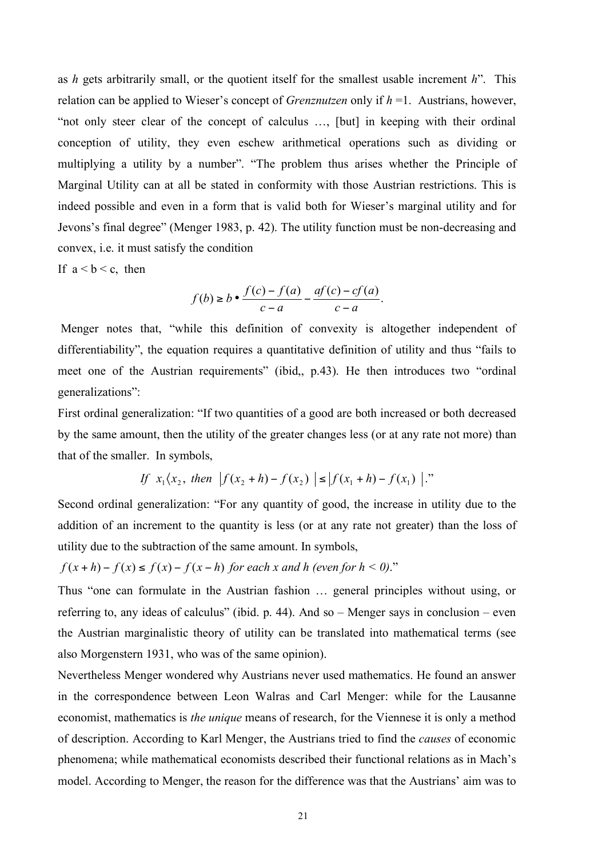as *h* gets arbitrarily small, or the quotient itself for the smallest usable increment *h*". This relation can be applied to Wieser's concept of *Grenznutzen* only if *h* =1. Austrians, however, "not only steer clear of the concept of calculus …, [but] in keeping with their ordinal conception of utility, they even eschew arithmetical operations such as dividing or multiplying a utility by a number". "The problem thus arises whether the Principle of Marginal Utility can at all be stated in conformity with those Austrian restrictions. This is indeed possible and even in a form that is valid both for Wieser's marginal utility and for Jevons's final degree" (Menger 1983, p. 42). The utility function must be non-decreasing and convex, i.e. it must satisfy the condition

If  $a < b < c$ , then

$$
f(b) \ge b \cdot \frac{f(c) - f(a)}{c - a} - \frac{af(c) - cf(a)}{c - a}.
$$

Menger notes that, "while this definition of convexity is altogether independent of differentiability", the equation requires a quantitative definition of utility and thus "fails to meet one of the Austrian requirements" (ibid,, p.43). He then introduces two "ordinal generalizations":

First ordinal generalization: "If two quantities of a good are both increased or both decreased by the same amount, then the utility of the greater changes less (or at any rate not more) than that of the smaller. In symbols,

If 
$$
x_1 \, x_2
$$
, then  $|f(x_2 + h) - f(x_2)| \le |f(x_1 + h) - f(x_1)|$ ."

Second ordinal generalization: "For any quantity of good, the increase in utility due to the addition of an increment to the quantity is less (or at any rate not greater) than the loss of utility due to the subtraction of the same amount. In symbols,

 $f(x+h) - f(x) \le f(x) - f(x-h)$  *for each x and h (even for h* < 0)."

Thus "one can formulate in the Austrian fashion … general principles without using, or referring to, any ideas of calculus" (ibid. p. 44). And so – Menger says in conclusion – even the Austrian marginalistic theory of utility can be translated into mathematical terms (see also Morgenstern 1931, who was of the same opinion).

Nevertheless Menger wondered why Austrians never used mathematics. He found an answer in the correspondence between Leon Walras and Carl Menger: while for the Lausanne economist, mathematics is *the unique* means of research, for the Viennese it is only a method of description. According to Karl Menger, the Austrians tried to find the *causes* of economic phenomena; while mathematical economists described their functional relations as in Mach's model. According to Menger, the reason for the difference was that the Austrians' aim was to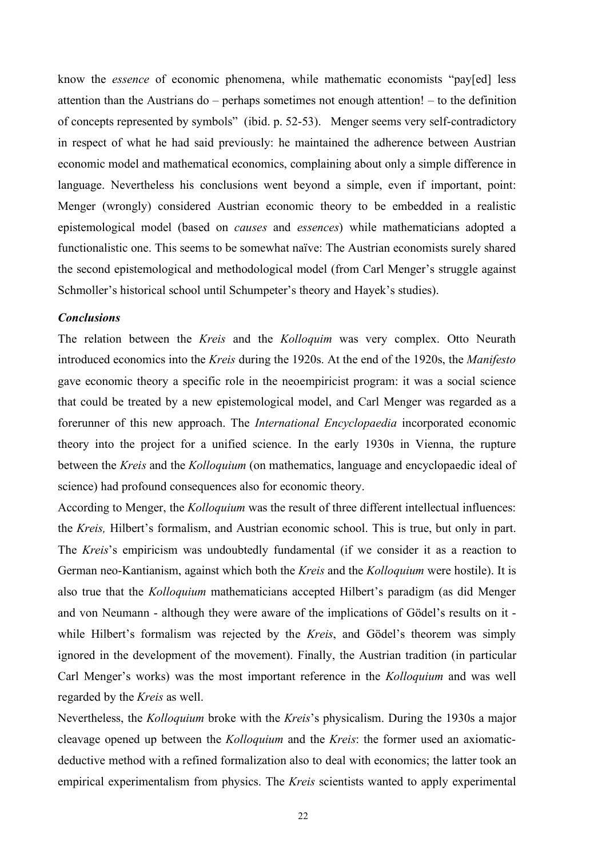know the *essence* of economic phenomena, while mathematic economists "pay[ed] less attention than the Austrians do – perhaps sometimes not enough attention! – to the definition of concepts represented by symbols" (ibid. p. 52-53). Menger seems very self-contradictory in respect of what he had said previously: he maintained the adherence between Austrian economic model and mathematical economics, complaining about only a simple difference in language. Nevertheless his conclusions went beyond a simple, even if important, point: Menger (wrongly) considered Austrian economic theory to be embedded in a realistic epistemological model (based on *causes* and *essences*) while mathematicians adopted a functionalistic one. This seems to be somewhat naïve: The Austrian economists surely shared the second epistemological and methodological model (from Carl Menger's struggle against Schmoller's historical school until Schumpeter's theory and Hayek's studies).

#### *Conclusions*

The relation between the *Kreis* and the *Kolloquim* was very complex. Otto Neurath introduced economics into the *Kreis* during the 1920s. At the end of the 1920s, the *Manifesto* gave economic theory a specific role in the neoempiricist program: it was a social science that could be treated by a new epistemological model, and Carl Menger was regarded as a forerunner of this new approach. The *International Encyclopaedia* incorporated economic theory into the project for a unified science. In the early 1930s in Vienna, the rupture between the *Kreis* and the *Kolloquium* (on mathematics, language and encyclopaedic ideal of science) had profound consequences also for economic theory.

According to Menger, the *Kolloquium* was the result of three different intellectual influences: the *Kreis,* Hilbert's formalism, and Austrian economic school. This is true, but only in part. The *Kreis*'s empiricism was undoubtedly fundamental (if we consider it as a reaction to German neo-Kantianism, against which both the *Kreis* and the *Kolloquium* were hostile). It is also true that the *Kolloquium* mathematicians accepted Hilbert's paradigm (as did Menger and von Neumann - although they were aware of the implications of Gödel's results on it while Hilbert's formalism was rejected by the *Kreis*, and Gödel's theorem was simply ignored in the development of the movement). Finally, the Austrian tradition (in particular Carl Menger's works) was the most important reference in the *Kolloquium* and was well regarded by the *Kreis* as well.

Nevertheless, the *Kolloquium* broke with the *Kreis*'s physicalism. During the 1930s a major cleavage opened up between the *Kolloquium* and the *Kreis*: the former used an axiomaticdeductive method with a refined formalization also to deal with economics; the latter took an empirical experimentalism from physics. The *Kreis* scientists wanted to apply experimental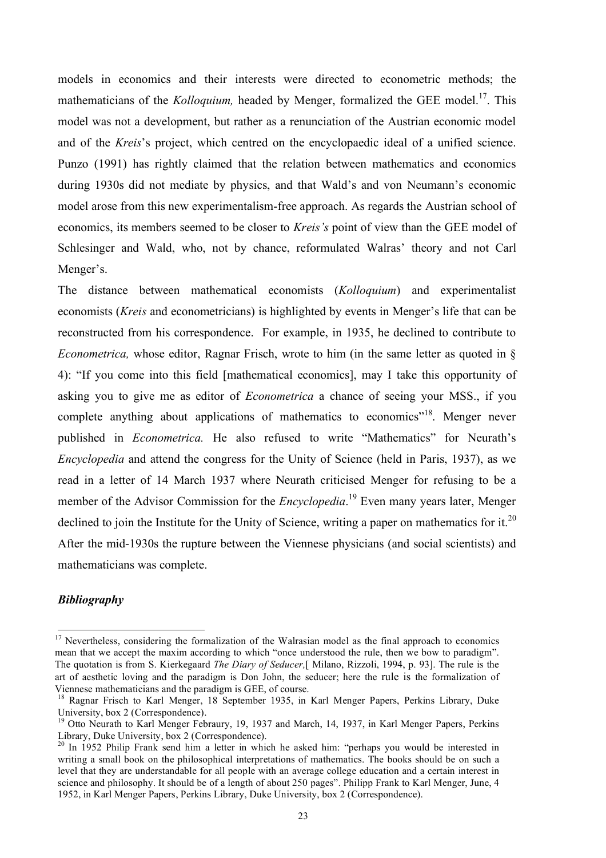models in economics and their interests were directed to econometric methods; the mathematicians of the *Kolloquium,* headed by Menger, formalized the GEE model. 17 . This model was not a development, but rather as a renunciation of the Austrian economic model and of the *Kreis*'s project, which centred on the encyclopaedic ideal of a unified science. Punzo (1991) has rightly claimed that the relation between mathematics and economics during 1930s did not mediate by physics, and that Wald's and von Neumann's economic model arose from this new experimentalism-free approach. As regards the Austrian school of economics, its members seemed to be closer to *Kreis's* point of view than the GEE model of Schlesinger and Wald, who, not by chance, reformulated Walras' theory and not Carl Menger's.

The distance between mathematical economists (*Kolloquium*) and experimentalist economists (*Kreis* and econometricians) is highlighted by events in Menger's life that can be reconstructed from his correspondence. For example, in 1935, he declined to contribute to *Econometrica*, whose editor, Ragnar Frisch, wrote to him (in the same letter as quoted in § 4): "If you come into this field [mathematical economics], may I take this opportunity of asking you to give me as editor of *Econometrica* a chance of seeing your MSS., if you complete anything about applications of mathematics to economics"<sup>18</sup>. Menger never published in *Econometrica.* He also refused to write "Mathematics" for Neurath's *Encyclopedia* and attend the congress for the Unity of Science (held in Paris, 1937), as we read in a letter of 14 March 1937 where Neurath criticised Menger for refusing to be a member of the Advisor Commission for the *Encyclopedia*. <sup>19</sup> Even many years later, Menger declined to join the Institute for the Unity of Science, writing a paper on mathematics for it.<sup>20</sup> After the mid-1930s the rupture between the Viennese physicians (and social scientists) and mathematicians was complete.

## *Bibliography*

<sup>&</sup>lt;sup>17</sup> Nevertheless, considering the formalization of the Walrasian model as the final approach to economics mean that we accept the maxim according to which "once understood the rule, then we bow to paradigm". The quotation is from S. Kierkegaard *The Diary of Seducer,*[ Milano, Rizzoli, 1994, p. 93]. The rule is the art of aesthetic loving and the paradigm is Don John, the seducer; here the rule is the formalization of

<sup>&</sup>lt;sup>18</sup> Ragnar Frisch to Karl Menger, 18 September 1935, in Karl Menger Papers, Perkins Library, Duke University, box 2 (Correspondence).<br><sup>19</sup> Otto Neurath to Karl Menger Febraury, 19, 1937 and March, 14, 1937, in Karl Menger Papers, Perkins

Library, Duke University, box 2 (Correspondence).<br><sup>20</sup> In 1952 Philip Frank send him a letter in which he asked him: "perhaps you would be interested in

writing a small book on the philosophical interpretations of mathematics. The books should be on such a level that they are understandable for all people with an average college education and a certain interest in science and philosophy. It should be of a length of about 250 pages". Philipp Frank to Karl Menger, June, 4 1952, in Karl Menger Papers, Perkins Library, Duke University, box 2 (Correspondence).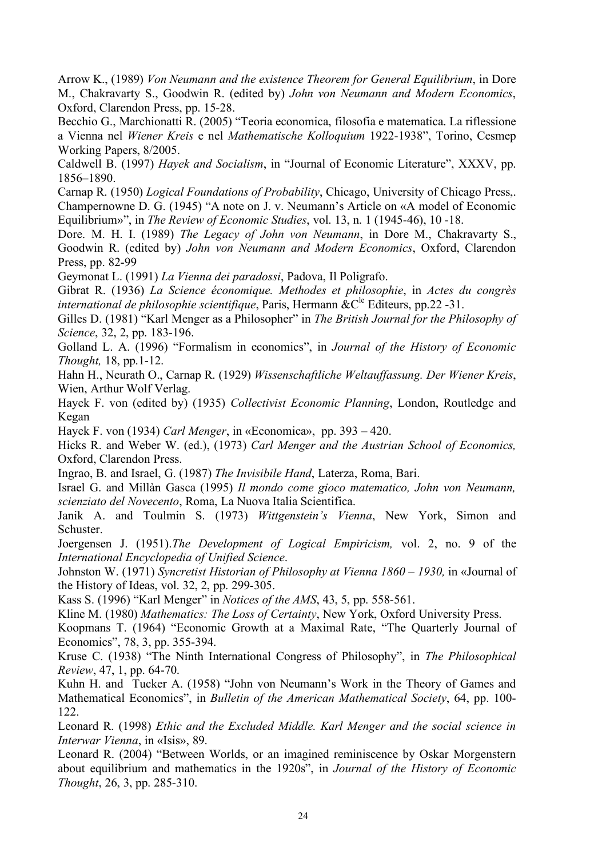Arrow K., (1989) *Von Neumann and the existence Theorem for General Equilibrium*, in Dore M., Chakravarty S., Goodwin R. (edited by) *John von Neumann and Modern Economics*, Oxford, Clarendon Press, pp. 15-28.

Becchio G., Marchionatti R. (2005) "Teoria economica, filosofia e matematica. La riflessione a Vienna nel *Wiener Kreis* e nel *Mathematische Kolloquium* 1922-1938", Torino, Cesmep Working Papers, 8/2005.

Caldwell B. (1997) *Hayek and Socialism*, in "Journal of Economic Literature", XXXV, pp. 1856–1890.

Carnap R. (1950) *Logical Foundations of Probability*, Chicago, University of Chicago Press,. Champernowne D. G. (1945) "A note on J. v. Neumann's Article on «A model of Economic Equilibrium»", in *The Review of Economic Studies*, vol. 13, n. 1 (1945-46), 10 -18.

Dore. M. H. I. (1989) *The Legacy of John von Neumann*, in Dore M., Chakravarty S., Goodwin R. (edited by) *John von Neumann and Modern Economics*, Oxford, Clarendon Press, pp. 82-99

Geymonat L. (1991) *La Vienna dei paradossi*, Padova, Il Poligrafo.

Gibrat R. (1936) *La Science économique. Methodes et philosophie*, in *Actes du congrès international de philosophie scientifique*, Paris, Hermann  $\&c^{e}$  Editeurs, pp.22 -31.

Gilles D. (1981) "Karl Menger as a Philosopher" in *The British Journal for the Philosophy of Science*, 32, 2, pp. 183-196.

Golland L. A. (1996) "Formalism in economics", in *Journal of the History of Economic Thought,* 18, pp.1-12.

Hahn H., Neurath O., Carnap R. (1929) *Wissenschaftliche Weltauffassung. Der Wiener Kreis*, Wien, Arthur Wolf Verlag.

Hayek F. von (edited by) (1935) *Collectivist Economic Planning*, London, Routledge and Kegan

Hayek F. von (1934) *Carl Menger*, in «Economica», pp. 393 – 420.

Hicks R. and Weber W. (ed.), (1973) *Carl Menger and the Austrian School of Economics,* Oxford, Clarendon Press.

Ingrao, B. and Israel, G. (1987) *The Invisibile Hand*, Laterza, Roma, Bari.

Israel G. and Millàn Gasca (1995) *Il mondo come gioco matematico, John von Neumann, scienziato del Novecento*, Roma, La Nuova Italia Scientifica.

Janik A. and Toulmin S. (1973) *Wittgenstein's Vienna*, New York, Simon and Schuster.

Joergensen J. (1951).*The Development of Logical Empiricism,* vol. 2, no. 9 of the *International Encyclopedia of Unified Science*.

Johnston W. (1971) *Syncretist Historian of Philosophy at Vienna 1860 – 1930,* in «Journal of the History of Ideas, vol. 32, 2, pp. 299-305.

Kass S. (1996) "Karl Menger" in *Notices of the AMS*, 43, 5, pp. 558-561.

Kline M. (1980) *Mathematics: The Loss of Certainty*, New York, Oxford University Press.

Koopmans T. (1964) "Economic Growth at a Maximal Rate, "The Quarterly Journal of Economics", 78, 3, pp. 355-394.

Kruse C. (1938) "The Ninth International Congress of Philosophy", in *The Philosophical Review*, 47, 1, pp. 64-70.

Kuhn H. and Tucker A. (1958) "John von Neumann's Work in the Theory of Games and Mathematical Economics", in *Bulletin of the American Mathematical Society*, 64, pp. 100- 122.

Leonard R. (1998) *Ethic and the Excluded Middle. Karl Menger and the social science in Interwar Vienna*, in «Isis», 89.

Leonard R. (2004) "Between Worlds, or an imagined reminiscence by Oskar Morgenstern about equilibrium and mathematics in the 1920s", in *Journal of the History of Economic Thought*, 26, 3, pp. 285-310.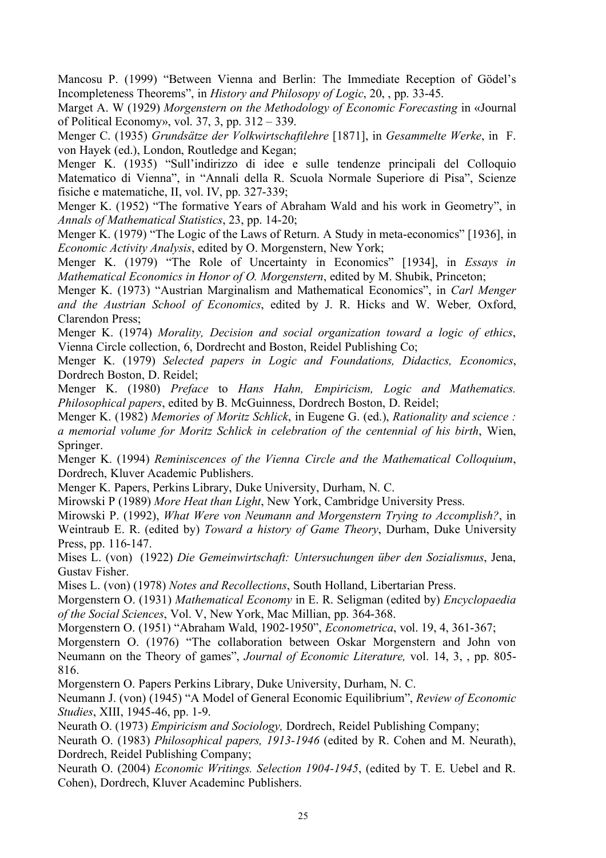Mancosu P. (1999) "Between Vienna and Berlin: The Immediate Reception of Gödel's Incompleteness Theorems", in *History and Philosopy of Logic*, 20, , pp. 33-45.

Marget A. W (1929) *Morgenstern on the Methodology of Economic Forecasting* in «Journal of Political Economy», vol. 37, 3, pp. 312 – 339.

Menger C. (1935) *Grundsätze der Volkwirtschaftlehre* [1871], in *Gesammelte Werke*, in F. von Hayek (ed.), London, Routledge and Kegan;

Menger K. (1935) "Sull'indirizzo di idee e sulle tendenze principali del Colloquio Matematico di Vienna", in "Annali della R. Scuola Normale Superiore di Pisa", Scienze fisiche e matematiche, II, vol. IV, pp. 327-339;

Menger K. (1952) "The formative Years of Abraham Wald and his work in Geometry", in *Annals of Mathematical Statistics*, 23, pp. 14-20;

Menger K. (1979) "The Logic of the Laws of Return. A Study in meta-economics" [1936], in *Economic Activity Analysis*, edited by O. Morgenstern, New York;

Menger K. (1979) "The Role of Uncertainty in Economics" [1934], in *Essays in Mathematical Economics in Honor of O. Morgenstern*, edited by M. Shubik, Princeton;

Menger K. (1973) "Austrian Marginalism and Mathematical Economics", in *Carl Menger and the Austrian School of Economics*, edited by J. R. Hicks and W. Weber*,* Oxford, Clarendon Press;

Menger K. (1974) *Morality, Decision and social organization toward a logic of ethics*, Vienna Circle collection, 6, Dordrecht and Boston, Reidel Publishing Co;

Menger K. (1979) *Selected papers in Logic and Foundations, Didactics, Economics*, Dordrech Boston, D. Reidel;

Menger K. (1980) *Preface* to *Hans Hahn, Empiricism, Logic and Mathematics. Philosophical papers*, edited by B. McGuinness, Dordrech Boston, D. Reidel;

Menger K. (1982) *Memories of Moritz Schlick*, in Eugene G. (ed.), *Rationality and science : a memorial volume for Moritz Schlick in celebration of the centennial of his birth*, Wien, Springer.

Menger K. (1994) *Reminiscences of the Vienna Circle and the Mathematical Colloquium*, Dordrech, Kluver Academic Publishers.

Menger K. Papers, Perkins Library, Duke University, Durham, N. C.

Mirowski P (1989) *More Heat than Light*, New York, Cambridge University Press.

Mirowski P. (1992), *What Were von Neumann and Morgenstern Trying to Accomplish?*, in Weintraub E. R. (edited by) *Toward a history of Game Theory*, Durham, Duke University Press, pp. 116-147.

Mises L. (von) (1922) *Die Gemeinwirtschaft: Untersuchungen über den Sozialismus*, Jena, Gustav Fisher.

Mises L. (von) (1978) *Notes and Recollections*, South Holland, Libertarian Press.

Morgenstern O. (1931) *Mathematical Economy* in E. R. Seligman (edited by) *Encyclopaedia of the Social Sciences*, Vol. V, New York, Mac Millian, pp. 364-368.

Morgenstern O. (1951) "Abraham Wald, 1902-1950", *Econometrica*, vol. 19, 4, 361-367;

Morgenstern O. (1976) "The collaboration between Oskar Morgenstern and John von Neumann on the Theory of games", *Journal of Economic Literature,* vol. 14, 3, , pp. 805- 816.

Morgenstern O. Papers Perkins Library, Duke University, Durham, N. C.

Neumann J. (von) (1945) "A Model of General Economic Equilibrium", *Review of Economic Studies*, XIII, 1945-46, pp. 1-9.

Neurath O. (1973) *Empiricism and Sociology,* Dordrech, Reidel Publishing Company;

Neurath O. (1983) *Philosophical papers, 1913-1946* (edited by R. Cohen and M. Neurath), Dordrech, Reidel Publishing Company;

Neurath O. (2004) *Economic Writings. Selection 1904-1945*, (edited by T. E. Uebel and R. Cohen), Dordrech, Kluver Academinc Publishers.